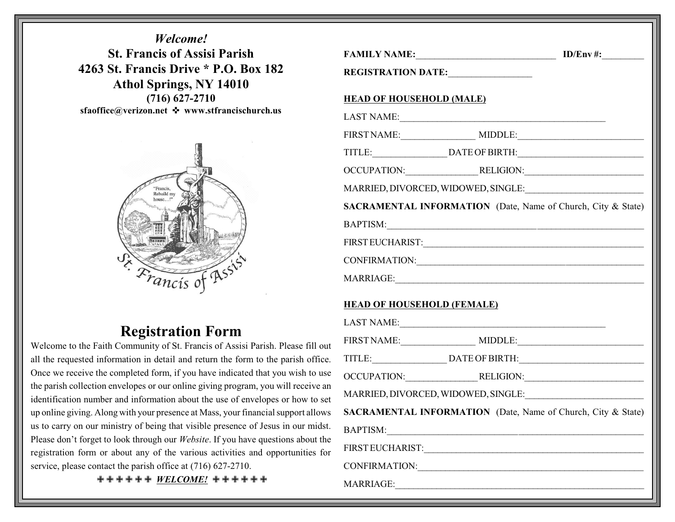## *Welcome!* **St. Francis of Assisi Parish 4263 St. Francis Drive \* P.O. Box 182 Athol Springs, NY 14010 (716) 627-2710 sfaoffice@verizon.net** ✜ **www.stfrancischurch.us**



## **Registration Form**

Welcome to the Faith Community of St. Francis of Assisi Parish. Please fill out all the requested information in detail and return the form to the parish office. Once we receive the completed form, if you have indicated that you wish to use the parish collection envelopes or our online giving program, you will receive an identification number and information about the use of envelopes or how to set up online giving. Along with your presence at Mass, your financialsupport allows us to carry on our ministry of being that visible presence of Jesus in our midst. Please don't forget to look through our *Website*. If you have questions about the registration form or about any of the various activities and opportunities for service, please contact the parish office at (716) 627-2710.

✙ ✙ ✙ ✙ ✙ ✙ *WELCOME!* ✙ ✙ ✙ ✙ ✙ ✙

|                                   | FAMILY NAME: ID/Env #:                                                           |  |
|-----------------------------------|----------------------------------------------------------------------------------|--|
|                                   | REGISTRATION DATE:                                                               |  |
| <b>HEAD OF HOUSEHOLD (MALE)</b>   |                                                                                  |  |
|                                   |                                                                                  |  |
|                                   |                                                                                  |  |
|                                   | TITLE:_________________________DATE OF BIRTH:___________________________________ |  |
|                                   |                                                                                  |  |
|                                   | MARRIED, DIVORCED, WIDOWED, SINGLE:                                              |  |
|                                   | SACRAMENTAL INFORMATION (Date, Name of Church, City & State)                     |  |
|                                   | BAPTISM:                                                                         |  |
|                                   |                                                                                  |  |
|                                   |                                                                                  |  |
|                                   | MARRIAGE:                                                                        |  |
| <b>HEAD OF HOUSEHOLD (FEMALE)</b> |                                                                                  |  |
|                                   |                                                                                  |  |
|                                   | FIRST NAME: MIDDLE:                                                              |  |
|                                   | TITLE:__________________________DATE OF BIRTH:__________________________________ |  |
|                                   |                                                                                  |  |
|                                   | MARRIED, DIVORCED, WIDOWED, SINGLE:                                              |  |
|                                   | SACRAMENTAL INFORMATION (Date, Name of Church, City & State)                     |  |
|                                   |                                                                                  |  |
|                                   |                                                                                  |  |
|                                   | CONFIRMATION: CONFIRMATION:                                                      |  |
|                                   |                                                                                  |  |